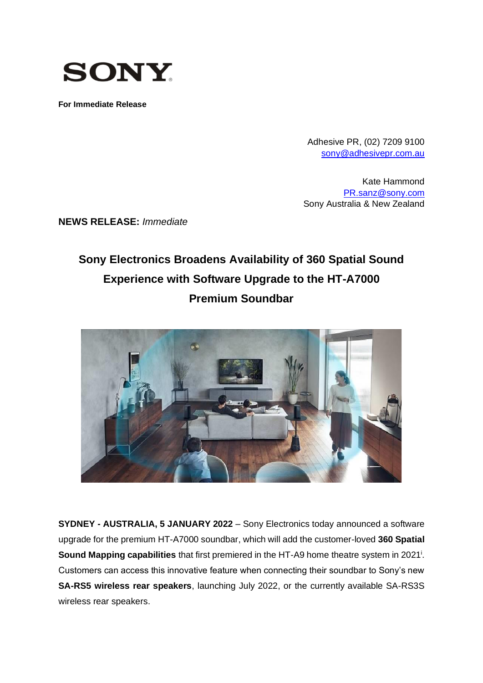

**For Immediate Release**

Adhesive PR, (02) 7209 9100 [sony@adhesivepr.com.au](mailto:sony@adhesivepr.com.au)

Kate Hammond [PR.sanz@sony.com](mailto:PR.sanz@sony.com) Sony Australia & New Zealand

**NEWS RELEASE:** *Immediate*

# **Sony Electronics Broadens Availability of 360 Spatial Sound Experience with Software Upgrade to the HT-A7000 Premium Soundbar**



**SYDNEY - AUSTRALIA, 5 JANUARY 2022** – Sony Electronics today announced a software upgrade for the premium HT-A7000 soundbar, which will add the customer-loved **360 Spatial**  Sound Mapping capabilities that first premiered in the HT-A9 home theatre system in 2021<sup>i</sup>. Customers can access this innovative feature when connecting their soundbar to Sony's new **SA-RS5 wireless rear speakers**, launching July 2022, or the currently available SA-RS3S wireless rear speakers.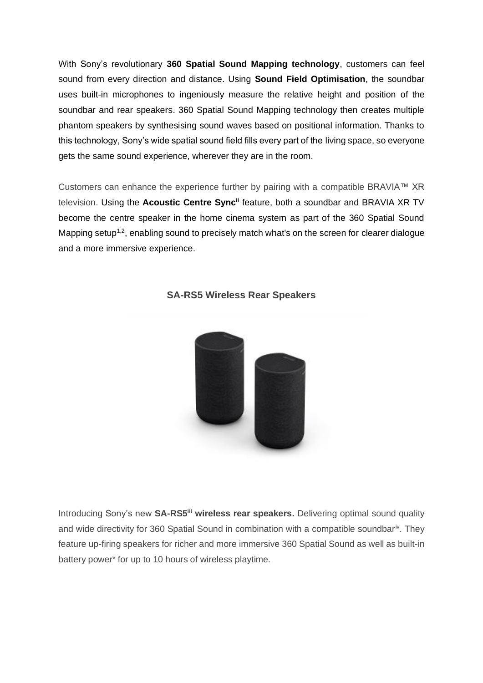With Sony's revolutionary **360 Spatial Sound Mapping technology**, customers can feel sound from every direction and distance. Using **Sound Field Optimisation**, the soundbar uses built-in microphones to ingeniously measure the relative height and position of the soundbar and rear speakers. 360 Spatial Sound Mapping technology then creates multiple phantom speakers by synthesising sound waves based on positional information. Thanks to this technology, Sony's wide spatial sound field fills every part of the living space, so everyone gets the same sound experience, wherever they are in the room.

Customers can enhance the experience further by pairing with a compatible BRAVIA™ XR television. Using the **Acoustic Centre Syncii** feature, both a soundbar and BRAVIA XR TV become the centre speaker in the home cinema system as part of the 360 Spatial Sound Mapping setup<sup>1,2</sup>, enabling sound to precisely match what's on the screen for clearer dialogue and a more immersive experience.



### **SA-RS5 Wireless Rear Speakers**

Introducing Sony's new **SA-RS5iii wireless rear speakers.** Delivering optimal sound quality and wide directivity for 360 Spatial Sound in combination with a compatible soundbar<sup>iv</sup>. They feature up-firing speakers for richer and more immersive 360 Spatial Sound as well as built-in battery power<sup>y</sup> for up to 10 hours of wireless playtime.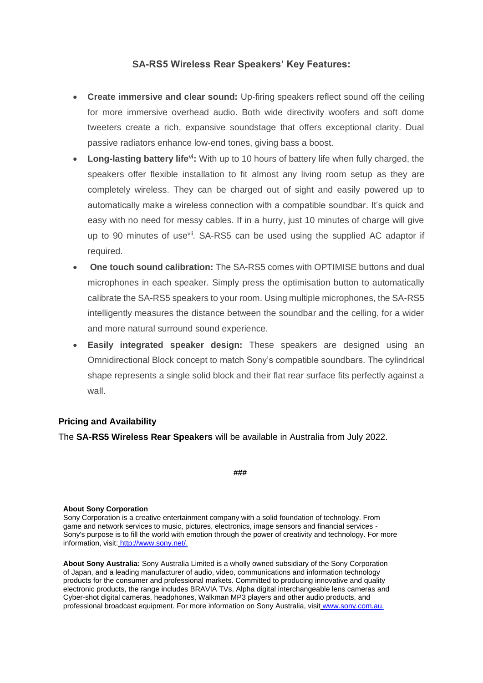## **SA-RS5 Wireless Rear Speakers' Key Features:**

- **Create immersive and clear sound:** Up-firing speakers reflect sound off the ceiling for more immersive overhead audio. Both wide directivity woofers and soft dome tweeters create a rich, expansive soundstage that offers exceptional clarity. Dual passive radiators enhance low-end tones, giving bass a boost.
- **Long-lasting battery lifevi:** With up to 10 hours of battery life when fully charged, the speakers offer flexible installation to fit almost any living room setup as they are completely wireless. They can be charged out of sight and easily powered up to automatically make a wireless connection with a compatible soundbar. It's quick and easy with no need for messy cables. If in a hurry, just 10 minutes of charge will give up to 90 minutes of use<sup>vii</sup>. SA-RS5 can be used using the supplied AC adaptor if required.
- **One touch sound calibration:** The SA-RS5 comes with OPTIMISE buttons and dual microphones in each speaker. Simply press the optimisation button to automatically calibrate the SA-RS5 speakers to your room. Using multiple microphones, the SA-RS5 intelligently measures the distance between the soundbar and the celling, for a wider and more natural surround sound experience.
- **Easily integrated speaker design:** These speakers are designed using an Omnidirectional Block concept to match Sony's compatible soundbars. The cylindrical shape represents a single solid block and their flat rear surface fits perfectly against a wall.

#### **Pricing and Availability**

The **SA-RS5 Wireless Rear Speakers** will be available in Australia from July 2022.

**###**

#### **About Sony Corporation**

Sony Corporation is a creative entertainment company with a solid foundation of technology. From game and network services to music, pictures, electronics, image sensors and financial services - Sony's purpose is to fill the world with emotion through the power of creativity and technology. For more information, visit: [http://www.sony.net/.](http://www.sony.net/)

**About Sony Australia:** Sony Australia Limited is a wholly owned subsidiary of the Sony Corporation of Japan, and a leading manufacturer of audio, video, communications and information technology products for the consumer and professional markets. Committed to producing innovative and quality electronic products, the range includes BRAVIA TVs, Alpha digital interchangeable lens cameras and Cyber-shot digital cameras, headphones, Walkman MP3 players and other audio products, and professional broadcast equipment. For more information on Sony Australia, visit [www.sony.com.au.](http://www.sony.com.au/)